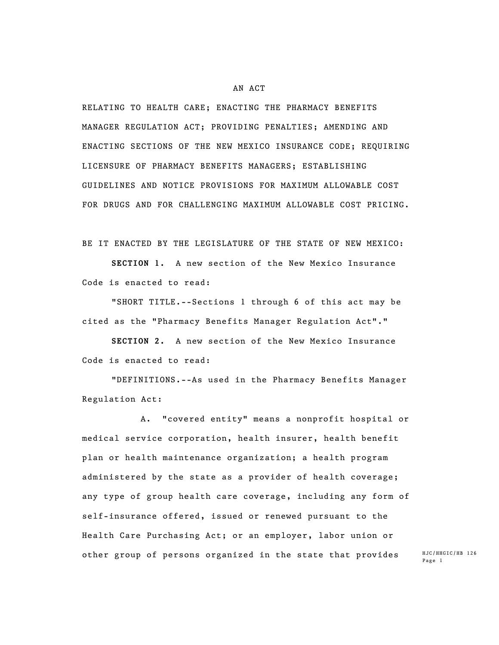## AN ACT

RELATING TO HEALTH CARE; ENACTING THE PHARMACY BENEFITS MANAGER REGULATION ACT; PROVIDING PENALTIES; AMENDING AND ENACTING SECTIONS OF THE NEW MEXICO INSURANCE CODE; REQUIRING LICENSURE OF PHARMACY BENEFITS MANAGERS; ESTABLISHING GUIDELINES AND NOTICE PROVISIONS FOR MAXIMUM ALLOWABLE COST FOR DRUGS AND FOR CHALLENGING MAXIMUM ALLOWABLE COST PRICING.

BE IT ENACTED BY THE LEGISLATURE OF THE STATE OF NEW MEXICO:

**SECTION 1.** A new section of the New Mexico Insurance Code is enacted to read:

"SHORT TITLE.--Sections 1 through 6 of this act may be cited as the "Pharmacy Benefits Manager Regulation Act"."

**SECTION 2.** A new section of the New Mexico Insurance Code is enacted to read:

"DEFINITIONS.--As used in the Pharmacy Benefits Manager Regulation Act:

A. "covered entity" means a nonprofit hospital or medical service corporation, health insurer, health benefit plan or health maintenance organization; a health program administered by the state as a provider of health coverage; any type of group health care coverage, including any form of self-insurance offered, issued or renewed pursuant to the Health Care Purchasing Act; or an employer, labor union or other group of persons organized in the state that provides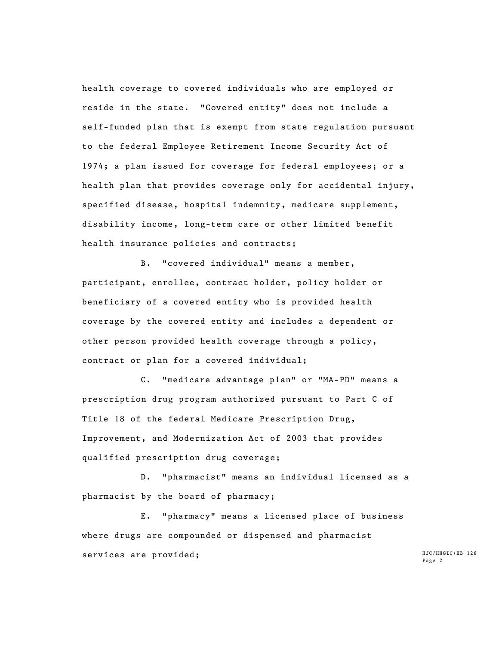health coverage to covered individuals who are employed or reside in the state. "Covered entity" does not include a self-funded plan that is exempt from state regulation pursuant to the federal Employee Retirement Income Security Act of 1974; a plan issued for coverage for federal employees; or a health plan that provides coverage only for accidental injury, specified disease, hospital indemnity, medicare supplement, disability income, long-term care or other limited benefit health insurance policies and contracts;

B. "covered individual" means a member, participant, enrollee, contract holder, policy holder or beneficiary of a covered entity who is provided health coverage by the covered entity and includes a dependent or other person provided health coverage through a policy, contract or plan for a covered individual;

C. "medicare advantage plan" or "MA-PD" means a prescription drug program authorized pursuant to Part C of Title 18 of the federal Medicare Prescription Drug, Improvement, and Modernization Act of 2003 that provides qualified prescription drug coverage;

D. "pharmacist" means an individual licensed as a pharmacist by the board of pharmacy;

E. "pharmacy" means a licensed place of business where drugs are compounded or dispensed and pharmacist services are provided;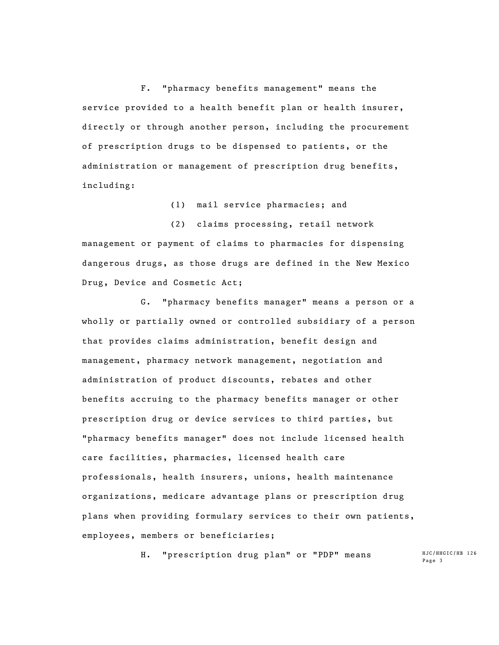F. "pharmacy benefits management" means the service provided to a health benefit plan or health insurer, directly or through another person, including the procurement of prescription drugs to be dispensed to patients, or the administration or management of prescription drug benefits, including:

(1) mail service pharmacies; and

(2) claims processing, retail network management or payment of claims to pharmacies for dispensing dangerous drugs, as those drugs are defined in the New Mexico Drug, Device and Cosmetic Act;

G. "pharmacy benefits manager" means a person or a wholly or partially owned or controlled subsidiary of a person that provides claims administration, benefit design and management, pharmacy network management, negotiation and administration of product discounts, rebates and other benefits accruing to the pharmacy benefits manager or other prescription drug or device services to third parties, but "pharmacy benefits manager" does not include licensed health care facilities, pharmacies, licensed health care professionals, health insurers, unions, health maintenance organizations, medicare advantage plans or prescription drug plans when providing formulary services to their own patients, employees, members or beneficiaries;

H. "prescription drug plan" or "PDP" means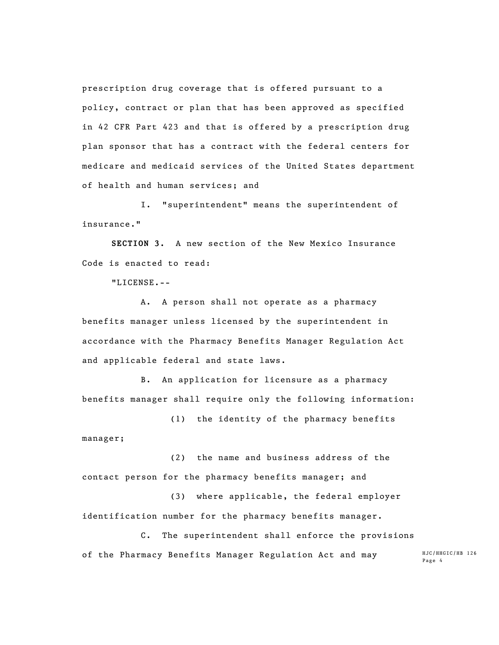prescription drug coverage that is offered pursuant to a policy, contract or plan that has been approved as specified in 42 CFR Part 423 and that is offered by a prescription drug plan sponsor that has a contract with the federal centers for medicare and medicaid services of the United States department of health and human services; and

I. "superintendent" means the superintendent of insurance."

**SECTION 3.** A new section of the New Mexico Insurance Code is enacted to read:

"LICENSE.--

A. A person shall not operate as a pharmacy benefits manager unless licensed by the superintendent in accordance with the Pharmacy Benefits Manager Regulation Act and applicable federal and state laws.

B. An application for licensure as a pharmacy benefits manager shall require only the following information:

(1) the identity of the pharmacy benefits manager;

(2) the name and business address of the contact person for the pharmacy benefits manager; and

(3) where applicable, the federal employer identification number for the pharmacy benefits manager.

C. The superintendent shall enforce the provisions of the Pharmacy Benefits Manager Regulation Act and may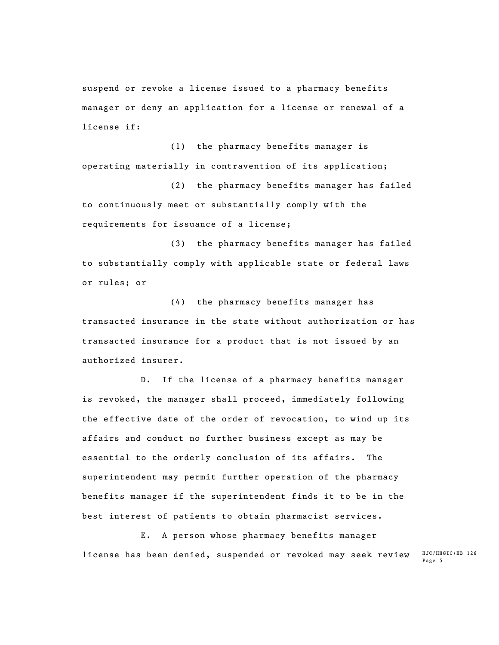suspend or revoke a license issued to a pharmacy benefits manager or deny an application for a license or renewal of a license if:

(1) the pharmacy benefits manager is operating materially in contravention of its application;

(2) the pharmacy benefits manager has failed to continuously meet or substantially comply with the requirements for issuance of a license;

(3) the pharmacy benefits manager has failed to substantially comply with applicable state or federal laws or rules; or

(4) the pharmacy benefits manager has transacted insurance in the state without authorization or has transacted insurance for a product that is not issued by an authorized insurer.

D. If the license of a pharmacy benefits manager is revoked, the manager shall proceed, immediately following the effective date of the order of revocation, to wind up its affairs and conduct no further business except as may be essential to the orderly conclusion of its affairs. The superintendent may permit further operation of the pharmacy benefits manager if the superintendent finds it to be in the best interest of patients to obtain pharmacist services.

HJC/HHGIC/HB 126 E. A person whose pharmacy benefits manager license has been denied, suspended or revoked may seek review

Page 5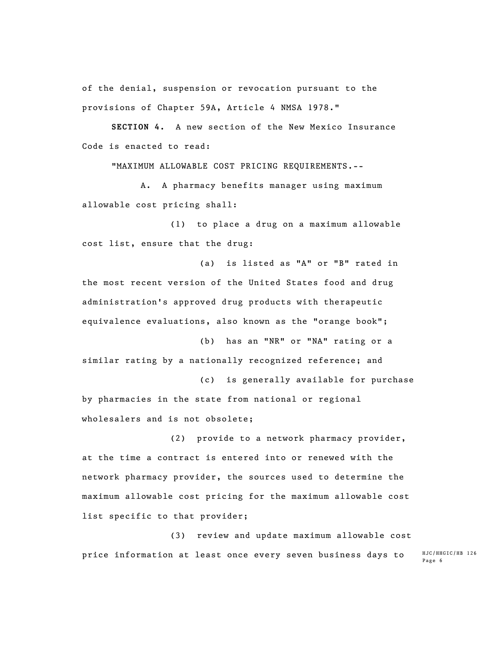of the denial, suspension or revocation pursuant to the provisions of Chapter 59A, Article 4 NMSA 1978."

**SECTION 4.** A new section of the New Mexico Insurance Code is enacted to read:

"MAXIMUM ALLOWABLE COST PRICING REQUIREMENTS.--

A. A pharmacy benefits manager using maximum allowable cost pricing shall:

(1) to place a drug on a maximum allowable cost list, ensure that the drug:

(a) is listed as "A" or "B" rated in the most recent version of the United States food and drug administration's approved drug products with therapeutic equivalence evaluations, also known as the "orange book";

(b) has an "NR" or "NA" rating or a similar rating by a nationally recognized reference; and

by pharmacies in the state from national or regional wholesalers and is not obsolete;

(c) is generally available for purchase

(2) provide to a network pharmacy provider, at the time a contract is entered into or renewed with the network pharmacy provider, the sources used to determine the maximum allowable cost pricing for the maximum allowable cost list specific to that provider;

(3) review and update maximum allowable cost price information at least once every seven business days to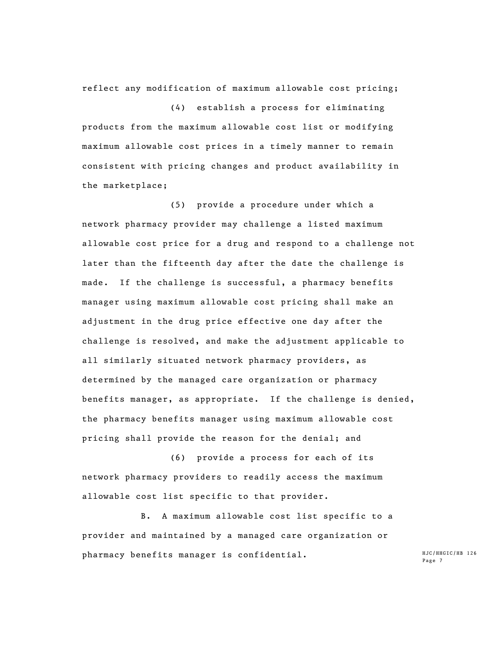reflect any modification of maximum allowable cost pricing;

(4) establish a process for eliminating products from the maximum allowable cost list or modifying maximum allowable cost prices in a timely manner to remain consistent with pricing changes and product availability in the marketplace;

(5) provide a procedure under which a network pharmacy provider may challenge a listed maximum allowable cost price for a drug and respond to a challenge not later than the fifteenth day after the date the challenge is made. If the challenge is successful, a pharmacy benefits manager using maximum allowable cost pricing shall make an adjustment in the drug price effective one day after the challenge is resolved, and make the adjustment applicable to all similarly situated network pharmacy providers, as determined by the managed care organization or pharmacy benefits manager, as appropriate. If the challenge is denied, the pharmacy benefits manager using maximum allowable cost pricing shall provide the reason for the denial; and

(6) provide a process for each of its network pharmacy providers to readily access the maximum allowable cost list specific to that provider.

B. A maximum allowable cost list specific to a provider and maintained by a managed care organization or pharmacy benefits manager is confidential.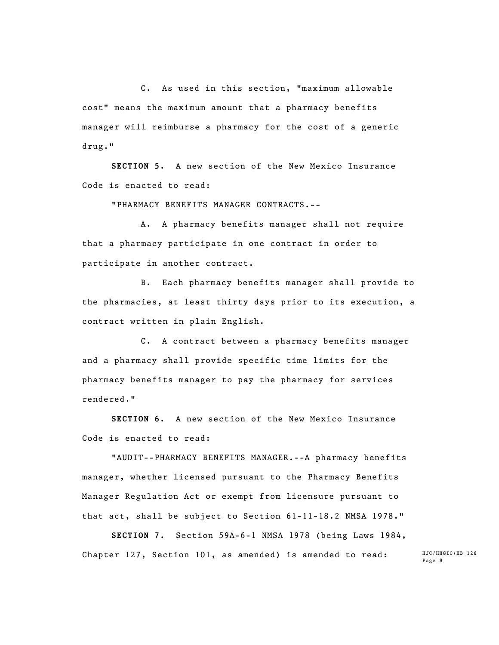C. As used in this section, "maximum allowable cost" means the maximum amount that a pharmacy benefits manager will reimburse a pharmacy for the cost of a generic drug."

**SECTION 5.** A new section of the New Mexico Insurance Code is enacted to read:

"PHARMACY BENEFITS MANAGER CONTRACTS.--

A. A pharmacy benefits manager shall not require that a pharmacy participate in one contract in order to participate in another contract.

B. Each pharmacy benefits manager shall provide to the pharmacies, at least thirty days prior to its execution, a contract written in plain English.

C. A contract between a pharmacy benefits manager and a pharmacy shall provide specific time limits for the pharmacy benefits manager to pay the pharmacy for services rendered."

**SECTION 6.** A new section of the New Mexico Insurance Code is enacted to read:

"AUDIT--PHARMACY BENEFITS MANAGER.--A pharmacy benefits manager, whether licensed pursuant to the Pharmacy Benefits Manager Regulation Act or exempt from licensure pursuant to that act, shall be subject to Section 61-11-18.2 NMSA 1978."

**SECTION 7.** Section 59A-6-1 NMSA 1978 (being Laws 1984, Chapter 127, Section 101, as amended) is amended to read: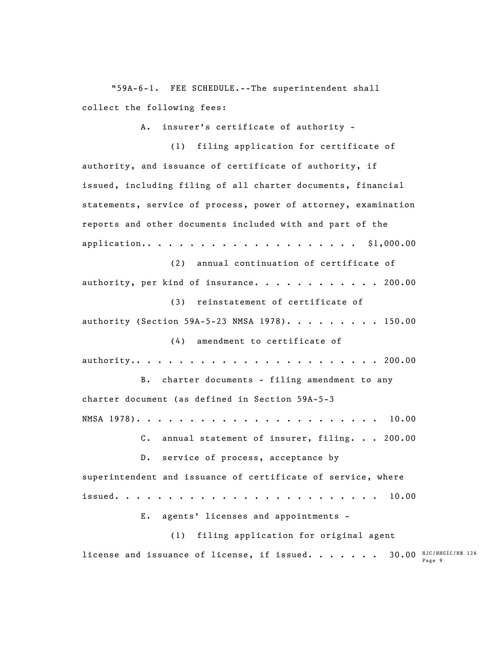"59A-6-1. FEE SCHEDULE.--The superintendent shall collect the following fees:

A. insurer's certificate of authority -

(1) filing application for certificate of authority, and issuance of certificate of authority, if issued, including filing of all charter documents, financial statements, service of process, power of attorney, examination reports and other documents included with and part of the application.. . . . . . . . . . . . . . . . . . . . \$1,000.00

(2) annual continuation of certificate of authority, per kind of insurance.  $\ldots$  . . . . . . . . 200.00

(3) reinstatement of certificate of authority (Section 59A-5-23 NMSA 1978). . . . . . . . . 150.00

(4) amendment to certificate of authority.. . . . . . . . . . . . . . . . . . . . . . . 200.00

B. charter documents - filing amendment to any charter document (as defined in Section 59A-5-3 NMSA 1978). . . . . . . . . . . . . . . . . . . . . . . 10.00

C. annual statement of insurer, filing. . . 200.00

D. service of process, acceptance by superintendent and issuance of certificate of service, where issued. . . . . . . . . . . . . . . . . . . . . . . . . 10.00

E. agents' licenses and appointments -

HJC/HHGIC/HB 126 license and issuance of license, if issued. . . . . . .  $30.00$   $_{\texttt{Page 9}}^{\texttt{HJC/HH}}$ 

(1) filing application for original agent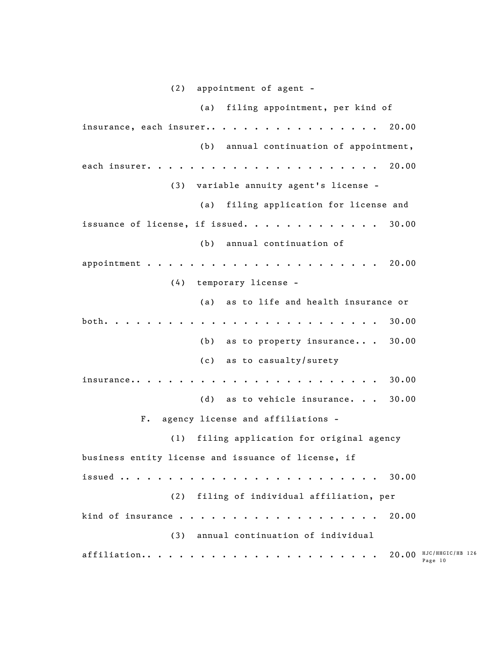HJC/HHGIC/HB 126 Page 10 affiliation.. . . . . . . . . . . . . . . . . . . . . . 20.00(2) appointment of agent - (a) filing appointment, per kind of insurance, each insurer.. . . . . . . . . . . . . . . 20.00 (b) annual continuation of appointment, each insurer. . . . . . . . . . . . . . . . . . . . . . 20.00 (3) variable annuity agent's license - (a) filing application for license and issuance of license, if issued. . . . . . . . . . . . . 30.00 (b) annual continuation of appointment . . . . . . . . . . . . . . . . . . . . . . 20.00 (4) temporary license - (a) as to life and health insurance or both. . . . . . . . . . . . . . . . . . . . . . . . . . 30.00 (b) as to property insurance... 30.00 (c) as to casualty/surety  $insurance...$   $\ldots$   $\ldots$   $\ldots$   $\ldots$   $\ldots$   $\ldots$   $\ldots$   $\ldots$   $\ldots$   $\ldots$   $\ldots$   $\ldots$   $\ldots$   $\ldots$   $\ldots$   $\ldots$   $\ldots$   $\ldots$   $\ldots$   $\ldots$   $\ldots$   $\ldots$   $\ldots$   $\ldots$   $\ldots$   $\ldots$   $\ldots$   $\ldots$   $\ldots$   $\ldots$   $\ldots$   $\ldots$   $\ldots$   $\ldots$   $\ldots$   $\ldots$ (d) as to vehicle insurance. . . 30.00 F. agency license and affiliations - (1) filing application for original agency business entity license and issuance of license, if issued .. . . . . . . . . . . . . . . . . . . . . . . . 30.00 (2) filing of individual affiliation, per kind of insurance . . . . . . . . . . . . . . . . . . 20.00 (3) annual continuation of individual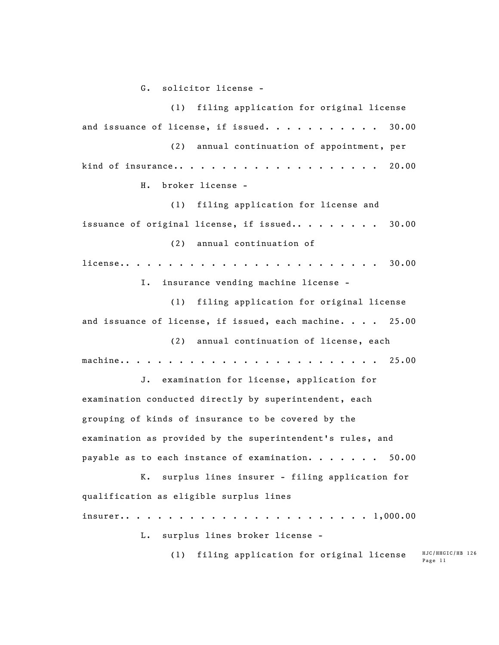G. solicitor license - (1) filing application for original license and issuance of license, if issued.  $\cdots$  . . . . . . . 30.00 (2) annual continuation of appointment, per kind of insurance.. . . . . . . . . . . . . . . . . . 20.00 H. broker license - (1) filing application for license and issuance of original license, if issued..........  $30.00$ (2) annual continuation of license.. . . . . . . . . . . . . . . . . . . . . . . . 30.00 I. insurance vending machine license - (1) filing application for original license and issuance of license, if issued, each machine. . . . 25.00 (2) annual continuation of license, each machine.. . . . . . . . . . . . . . . . . . . . . . . . 25.00 J. examination for license, application for examination conducted directly by superintendent, each grouping of kinds of insurance to be covered by the examination as provided by the superintendent's rules, and payable as to each instance of examination.  $\ldots$  . . . . 50.00

K. surplus lines insurer - filing application for qualification as eligible surplus lines insurer.. . . . . . . . . . . . . . . . . . . . . . . 1,000.00

L. surplus lines broker license -

(1) filing application for original license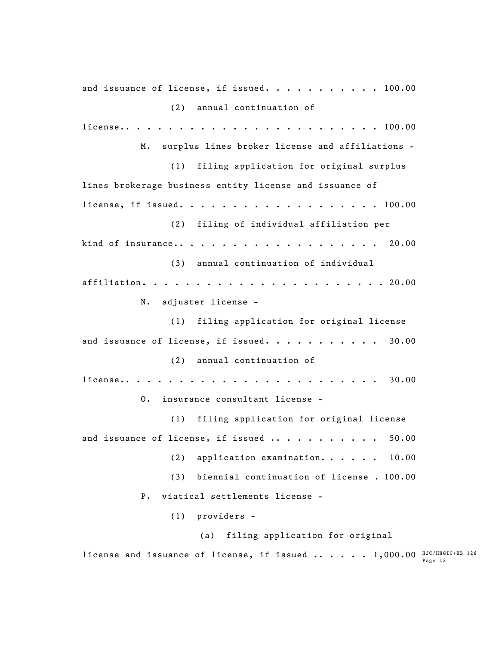HJC/HHGIC/HB 126 license and issuance of license, if issued  $\ldots$  . . . . 1,000.00  $_{\tt Page\ 12}^{\tt HIG/HHG}$ and issuance of license, if issued.  $\ldots$  . . . . . . . 100.00 (2) annual continuation of license.. . . . . . . . . . . . . . . . . . . . . . . . 100.00 M. surplus lines broker license and affiliations - (1) filing application for original surplus lines brokerage business entity license and issuance of license, if issued. . . . . . . . . . . . . . . . . . . 100.00 (2) filing of individual affiliation per kind of insurance.. . . . . . . . . . . . . . . . . . . 20.00 (3) annual continuation of individual affiliation.. . . . . . . . . . . . . . . . . . . . . . . 20.00 N. adjuster license - (1) filing application for original license and issuance of license, if issued.  $\cdots$  . . . . . . . 30.00 (2) annual continuation of license.. . . . . . . . . . . . . . . . . . . . . . . . 30.00 O. insurance consultant license - (1) filing application for original license and issuance of license, if issued  $\ldots$  . . . . . . . . 50.00 (2) application examination. . . . . 10.00 (3) biennial continuation of license . 100.00 P. viatical settlements license - (1) providers - (a) filing application for original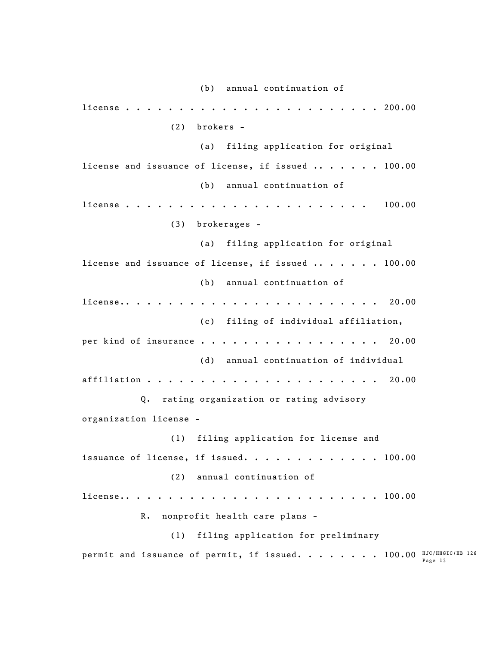HJC/HHGIC/HB 126 permit and issuance of permit, if issued. . . . . . . .  $100.00$   $_{\tt Page\ 13}^{\tt HIG/HHG}$ (b) annual continuation of license . . . . . . . . . . . . . . . . . . . . . . . . 200.00 (2) brokers - (a) filing application for original license and issuance of license, if issued ....... 100.00 (b) annual continuation of license . . . . . . . . . . . . . . . . . . . . . . . 100.00 (3) brokerages - (a) filing application for original license and issuance of license, if issued ....... 100.00 (b) annual continuation of license.. . . . . . . . . . . . . . . . . . . . . . . . 20.00 (c) filing of individual affiliation, per kind of insurance . . . . . . . . . . . . . . . . 20.00 (d) annual continuation of individual affiliation . . . . . . . . . . . . . . . . . . . . . . 20.00 Q. rating organization or rating advisory organization license - (1) filing application for license and issuance of license, if issued.  $\cdots$  . . . . . . . . . 100.00 (2) annual continuation of license.. . . . . . . . . . . . . . . . . . . . . . . . 100.00 R. nonprofit health care plans - (1) filing application for preliminary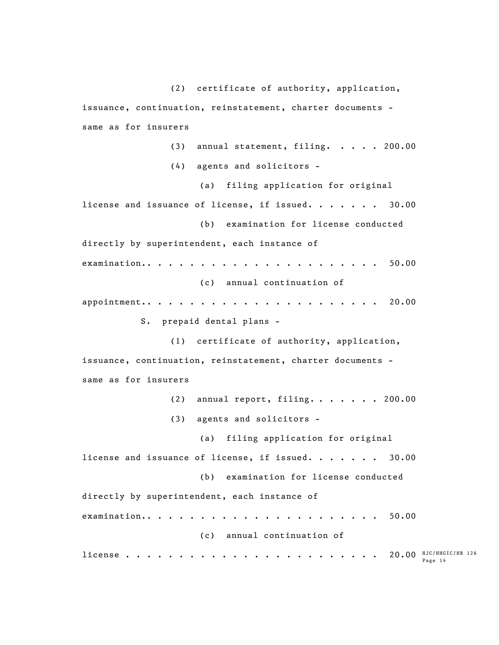HJC/HHGIC/HB 126 Page 14 license . . . . . . . . . . . . . . . . . . . . . . . . 20.00(2) certificate of authority, application, issuance, continuation, reinstatement, charter documents same as for insurers  $(3)$  annual statement, filing. . . . . 200.00 (4) agents and solicitors - (a) filing application for original license and issuance of license, if issued. . . . . . . 30.00 (b) examination for license conducted directly by superintendent, each instance of examination.. . . . . . . . . . . . . . . . . . . . . . 50.00 (c) annual continuation of appointment.. . . . . . . . . . . . . . . . . . . . . . 20.00 S. prepaid dental plans - (1) certificate of authority, application, issuance, continuation, reinstatement, charter documents same as for insurers  $(2)$  annual report, filing. . . . . . 200.00 (3) agents and solicitors - (a) filing application for original license and issuance of license, if issued. . . . . . 30.00 (b) examination for license conducted directly by superintendent, each instance of examination.. . . . . . . . . . . . . . . . . . . . . . 50.00 (c) annual continuation of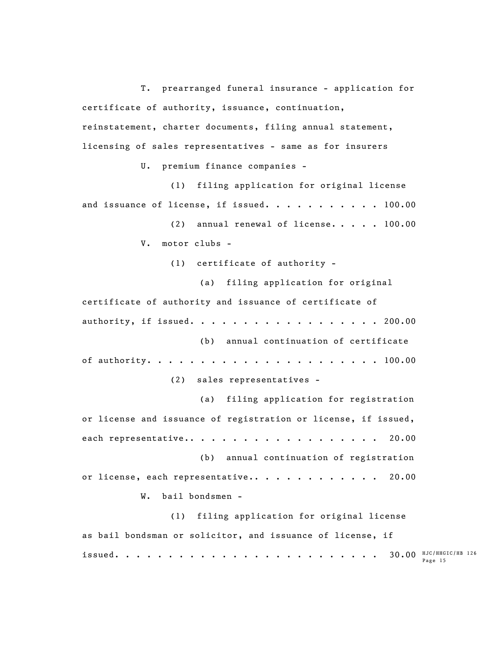T. prearranged funeral insurance - application for certificate of authority, issuance, continuation, reinstatement, charter documents, filing annual statement, licensing of sales representatives - same as for insurers

U. premium finance companies -

(1) filing application for original license and issuance of license, if issued. . . . . . . . . . 100.00

> (2) annual renewal of license. . . . . 100.00 V. motor clubs -

> > (1) certificate of authority -

(a) filing application for original certificate of authority and issuance of certificate of authority, if issued. . . . . . . . . . . . . . . . . 200.00 (b) annual continuation of certificate of authority. . . . . . . . . . . . . . . . . . . . . . 100.00 (2) sales representatives - (a) filing application for registration or license and issuance of registration or license, if issued, each representative.. . . . . . . . . . . . . . . . . 20.00 (b) annual continuation of registration or license, each representative.. . . . . . . . . . . 20.00 W. bail bondsmen - (1) filing application for original license as bail bondsman or solicitor, and issuance of license, if

 $30.00$  HJC/HHGIC/HB 126 Page 15 issued. . . . . . . . . . . . . . . . . . . . . . . . . 30.00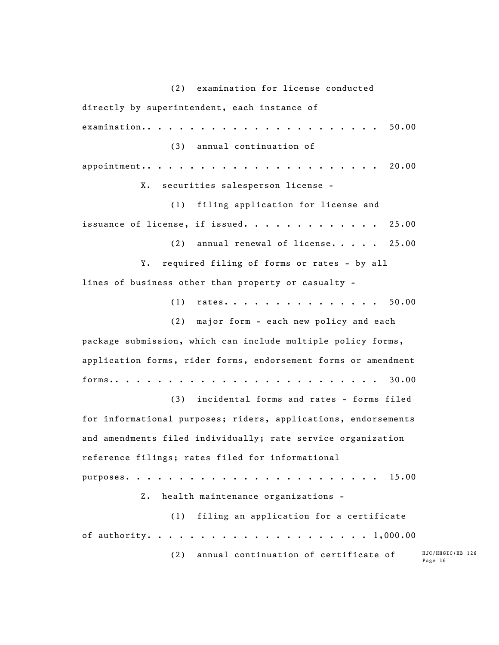(2) examination for license conducted directly by superintendent, each instance of examination.. . . . . . . . . . . . . . . . . . . . . . 50.00 (3) annual continuation of appointment.. . . . . . . . . . . . . . . . . . . . . . 20.00 X. securities salesperson license - (1) filing application for license and issuance of license, if issued.  $\ldots$  . . . . . . . . . 25.00 (2) annual renewal of license.....  $25.00$ Y. required filing of forms or rates - by all lines of business other than property or casualty - (1) rates. . . . . . . . . . . . . . . 50.00 (2) major form - each new policy and each package submission, which can include multiple policy forms, application forms, rider forms, endorsement forms or amendment forms.. . . . . . . . . . . . . . . . . . . . . . . . . 30.00 (3) incidental forms and rates - forms filed for informational purposes; riders, applications, endorsements and amendments filed individually; rate service organization reference filings; rates filed for informational purposes. . . . . . . . . . . . . . . . . . . . . . . . 15.00 Z. health maintenance organizations - (1) filing an application for a certificate of authority. . . . . . . . . . . . . . . . . . . . . 1,000.00 (2) annual continuation of certificate of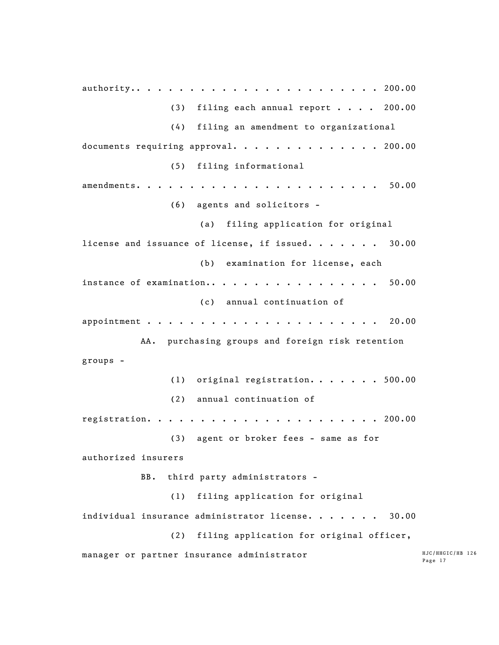HJC/HHGIC/HB 126 Page 17 authority.. . . . . . . . . . . . . . . . . . . . . . . 200.00 (3) filing each annual report  $\cdots$  . 200.00 (4) filing an amendment to organizational documents requiring approval.  $\cdots$ . . . . . . . . . . 200.00 (5) filing informational amendments. . . . . . . . . . . . . . . . . . . . . . . 50.00 (6) agents and solicitors - (a) filing application for original license and issuance of license, if issued. . . . . . 30.00 (b) examination for license, each instance of examination..................................50.00 (c) annual continuation of appointment . . . . . . . . . . . . . . . . . . . . . . 20.00 AA. purchasing groups and foreign risk retention groups - (1) original registration.  $\cdots$  . . . 500.00 (2) annual continuation of registration. . . . . . . . . . . . . . . . . . . . . . 200.00 (3) agent or broker fees - same as for authorized insurers BB. third party administrators - (1) filing application for original individual insurance administrator license. . . . . . 30.00 (2) filing application for original officer, manager or partner insurance administrator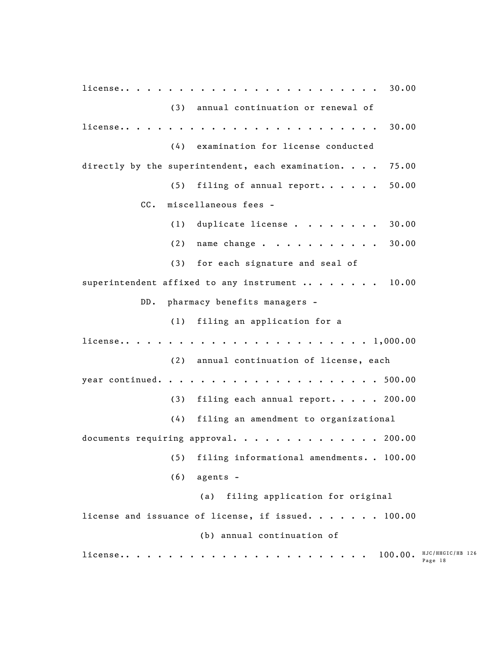HJC/HHGIC/HB 126 Page 18 license.. . . . . . . . . . . . . . . . . . . . . . . 100.00.license.. . . . . . . . . . . . . . . . . . . . . . . . 30.00 (3) annual continuation or renewal of license.. . . . . . . . . . . . . . . . . . . . . . . . 30.00 (4) examination for license conducted directly by the superintendent, each examination. . . . 75.00 (5) filing of annual report.  $\cdots$  . . . 50.00 CC. miscellaneous fees - (1) duplicate license . . . . . . . 30.00 (2) name change . . . . . . . . . . 30.00 (3) for each signature and seal of superintendent affixed to any instrument  $\cdots$  . . . . . 10.00 DD. pharmacy benefits managers - (1) filing an application for a license.. . . . . . . . . . . . . . . . . . . . . . . 1,000.00 (2) annual continuation of license, each year continued. . . . . . . . . . . . . . . . . . . . . 500.00 (3) filing each annual report. . . . 200.00 (4) filing an amendment to organizational documents requiring approval.  $\cdots$ . . . . . . . . . . 200.00 (5) filing informational amendments. . 100.00 (6) agents - (a) filing application for original license and issuance of license, if issued. . . . . . . 100.00 (b) annual continuation of